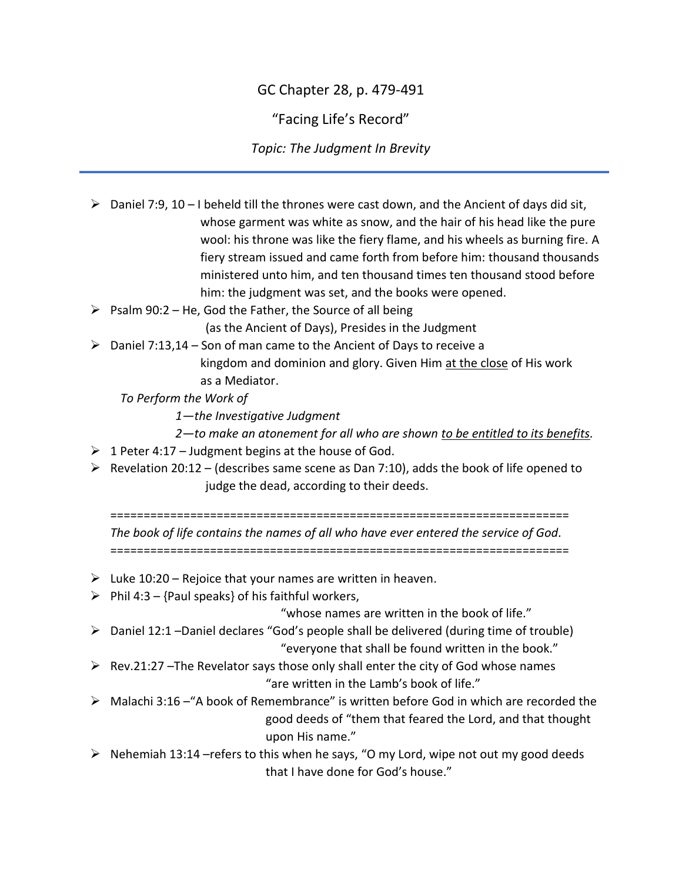## GC Chapter 28, p. 479-491

"Facing Life's Record"

*Topic: The Judgment In Brevity*

| ➤ | Daniel 7:9, $10 - I$ beheld till the thrones were cast down, and the Ancient of days did sit,<br>whose garment was white as snow, and the hair of his head like the pure<br>wool: his throne was like the fiery flame, and his wheels as burning fire. A |
|---|----------------------------------------------------------------------------------------------------------------------------------------------------------------------------------------------------------------------------------------------------------|
|   | fiery stream issued and came forth from before him: thousand thousands<br>ministered unto him, and ten thousand times ten thousand stood before<br>him: the judgment was set, and the books were opened.                                                 |
| ➤ | Psalm 90:2 - He, God the Father, the Source of all being                                                                                                                                                                                                 |
|   | (as the Ancient of Days), Presides in the Judgment                                                                                                                                                                                                       |
| ➤ | Daniel 7:13,14 - Son of man came to the Ancient of Days to receive a                                                                                                                                                                                     |
|   | kingdom and dominion and glory. Given Him at the close of His work                                                                                                                                                                                       |
|   | as a Mediator.                                                                                                                                                                                                                                           |
|   | To Perform the Work of                                                                                                                                                                                                                                   |
|   | 1-the Investigative Judgment                                                                                                                                                                                                                             |
|   | 2-to make an atonement for all who are shown to be entitled to its benefits.                                                                                                                                                                             |
| ➤ | 1 Peter 4:17 - Judgment begins at the house of God.                                                                                                                                                                                                      |
| ➤ | Revelation 20:12 - (describes same scene as Dan 7:10), adds the book of life opened to                                                                                                                                                                   |
|   | judge the dead, according to their deeds.                                                                                                                                                                                                                |
|   |                                                                                                                                                                                                                                                          |
|   |                                                                                                                                                                                                                                                          |
|   | The book of life contains the names of all who have ever entered the service of God.                                                                                                                                                                     |
| ➤ | Luke 10:20 – Rejoice that your names are written in heaven.                                                                                                                                                                                              |
| ➤ | Phil 4:3 - {Paul speaks} of his faithful workers,                                                                                                                                                                                                        |
|   | "whose names are written in the book of life."                                                                                                                                                                                                           |
| ➤ | Daniel 12:1 -Daniel declares "God's people shall be delivered (during time of trouble)                                                                                                                                                                   |
|   | "everyone that shall be found written in the book."                                                                                                                                                                                                      |
| ➤ | Rev.21:27 - The Revelator says those only shall enter the city of God whose names                                                                                                                                                                        |
|   | "are written in the Lamb's book of life."                                                                                                                                                                                                                |
|   | Malachi 3:16 - "A book of Remembrance" is written before God in which are recorded the                                                                                                                                                                   |
|   | good deeds of "them that feared the Lord, and that thought                                                                                                                                                                                               |
|   | upon His name."                                                                                                                                                                                                                                          |
|   | Nehemiah 13:14 - refers to this when he says, "O my Lord, wipe not out my good deeds<br>that I have done for God's house."                                                                                                                               |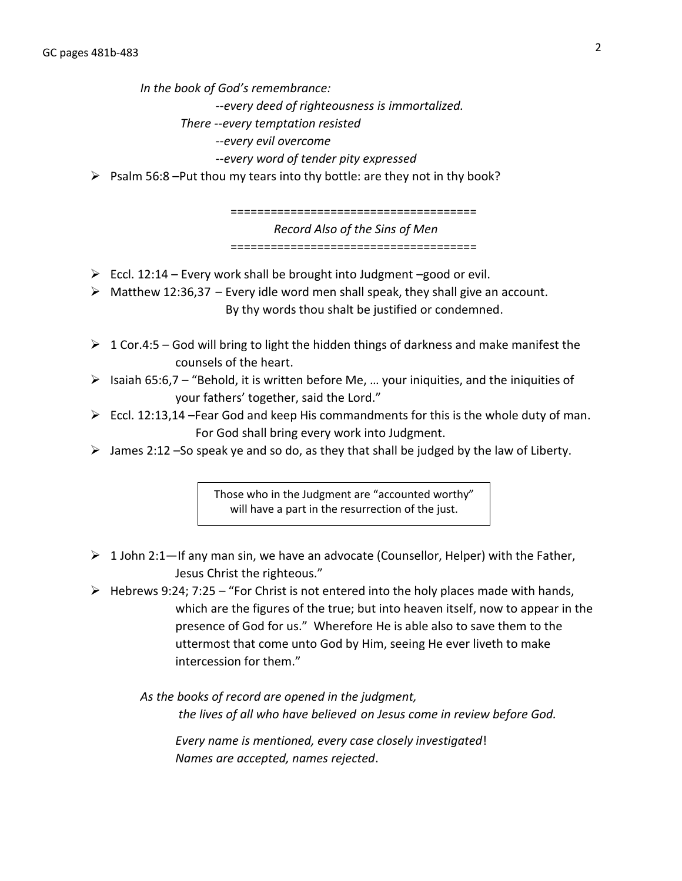*In the book of God's remembrance:*

*--every deed of righteousness is immortalized.* 

- *There --every temptation resisted*
	- *--every evil overcome*

*--every word of tender pity expressed*

 $\triangleright$  Psalm 56:8 –Put thou my tears into thy bottle: are they not in thy book?

===================================== *Record Also of the Sins of Men* =====================================

- $\triangleright$  Eccl. 12:14 Every work shall be brought into Judgment –good or evil.
- $\triangleright$  Matthew 12:36,37 Every idle word men shall speak, they shall give an account. By thy words thou shalt be justified or condemned.
- $\geq 1$  Cor.4:5 God will bring to light the hidden things of darkness and make manifest the counsels of the heart.
- $\triangleright$  Isaiah 65:6,7 "Behold, it is written before Me, ... your iniquities, and the iniquities of your fathers' together, said the Lord."
- $\triangleright$  Eccl. 12:13,14 Fear God and keep His commandments for this is the whole duty of man. For God shall bring every work into Judgment.
- $\triangleright$  James 2:12 –So speak ye and so do, as they that shall be judged by the law of Liberty.

Those who in the Judgment are "accounted worthy" will have a part in the resurrection of the just.

- $\geq 1$  John 2:1—If any man sin, we have an advocate (Counsellor, Helper) with the Father, Jesus Christ the righteous."
- $\triangleright$  Hebrews 9:24; 7:25 "For Christ is not entered into the holy places made with hands, which are the figures of the true; but into heaven itself, now to appear in the presence of God for us." Wherefore He is able also to save them to the uttermost that come unto God by Him, seeing He ever liveth to make intercession for them."

*As the books of record are opened in the judgment, the lives of all who have believed on Jesus come in review before God.*

*Every name is mentioned, every case closely investigated*! *Names are accepted, names rejected*.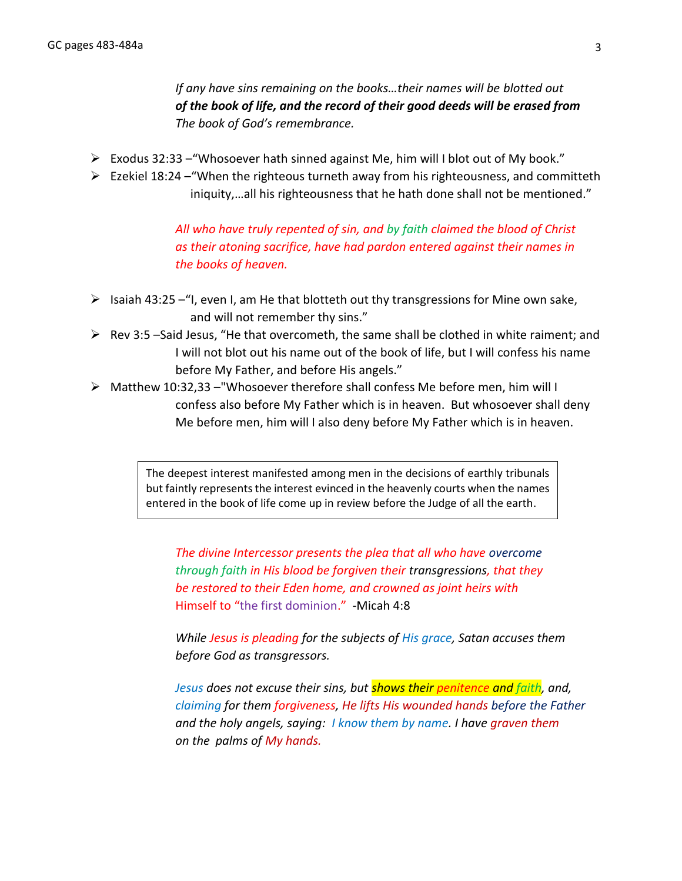*If any have sins remaining on the books…their names will be blotted out of the book of life, and the record of their good deeds will be erased from The book of God's remembrance.*

- ➢ Exodus 32:33 –"Whosoever hath sinned against Me, him will I blot out of My book."
- $\triangleright$  Ezekiel 18:24 "When the righteous turneth away from his righteousness, and committeth iniquity,…all his righteousness that he hath done shall not be mentioned."

*All who have truly repented of sin, and by faith claimed the blood of Christ as their atoning sacrifice, have had pardon entered against their names in the books of heaven.*

- $\triangleright$  Isaiah 43:25 "I, even I, am He that blotteth out thy transgressions for Mine own sake, and will not remember thy sins."
- $\triangleright$  Rev 3:5 –Said Jesus, "He that overcometh, the same shall be clothed in white raiment; and I will not blot out his name out of the book of life, but I will confess his name before My Father, and before His angels."
- $\triangleright$  Matthew 10:32,33 –"Whosoever therefore shall confess Me before men, him will I confess also before My Father which is in heaven. But whosoever shall deny Me before men, him will I also deny before My Father which is in heaven.

The deepest interest manifested among men in the decisions of earthly tribunals but faintly represents the interest evinced in the heavenly courts when the names entered in the book of life come up in review before the Judge of all the earth.

*The divine Intercessor presents the plea that all who have overcome through faith in His blood be forgiven their transgressions, that they be restored to their Eden home, and crowned as joint heirs with* Himself to "the first dominion." -Micah 4:8

*While Jesus is pleading for the subjects of His grace, Satan accuses them before God as transgressors.*

*Jesus does not excuse their sins, but shows their penitence and faith, and, claiming for them forgiveness, He lifts His wounded hands before the Father and the holy angels, saying: I know them by name. I have graven them on the palms of My hands.*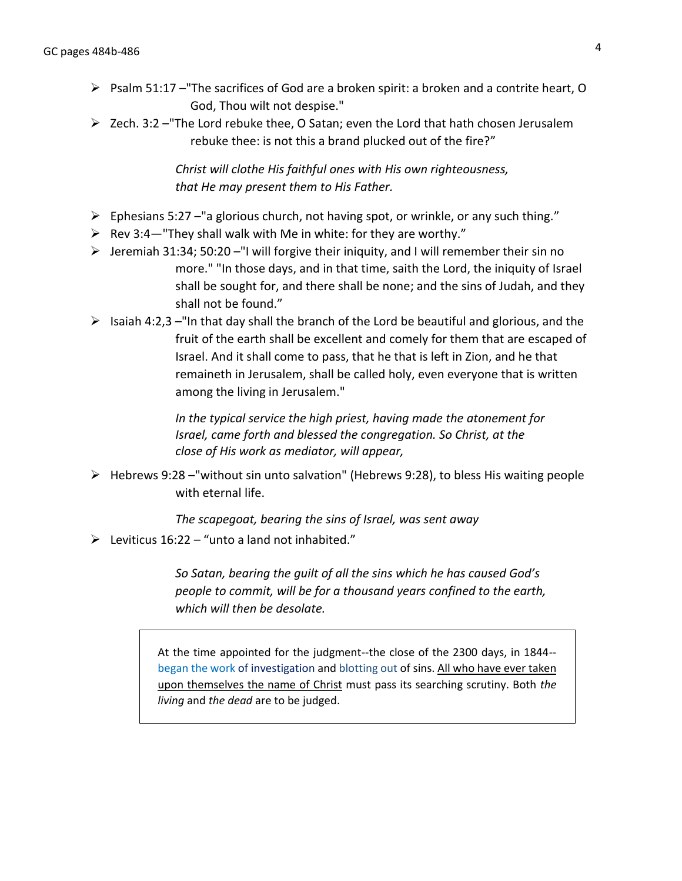- $\triangleright$  Psalm 51:17 The sacrifices of God are a broken spirit: a broken and a contrite heart, O God, Thou wilt not despise."
- $\triangleright$  Zech. 3:2 –"The Lord rebuke thee, O Satan; even the Lord that hath chosen Jerusalem rebuke thee: is not this a brand plucked out of the fire?"

*Christ will clothe His faithful ones with His own righteousness, that He may present them to His Father.*

- $\triangleright$  Ephesians 5:27 –"a glorious church, not having spot, or wrinkle, or any such thing."
- $\triangleright$  Rev 3:4—"They shall walk with Me in white: for they are worthy."
- ➢ Jeremiah 31:34; 50:20 –"I will forgive their iniquity, and I will remember their sin no more." "In those days, and in that time, saith the Lord, the iniquity of Israel shall be sought for, and there shall be none; and the sins of Judah, and they shall not be found."
- $\triangleright$  Isaiah 4:2,3 –"In that day shall the branch of the Lord be beautiful and glorious, and the fruit of the earth shall be excellent and comely for them that are escaped of Israel. And it shall come to pass, that he that is left in Zion, and he that remaineth in Jerusalem, shall be called holy, even everyone that is written among the living in Jerusalem."

*In the typical service the high priest, having made the atonement for Israel, came forth and blessed the congregation. So Christ, at the close of His work as mediator, will appear,*

 $\triangleright$  Hebrews 9:28 – "without sin unto salvation" (Hebrews 9:28), to bless His waiting people with eternal life.

*The scapegoat, bearing the sins of Israel, was sent away*

 $\triangleright$  Leviticus 16:22 – "unto a land not inhabited."

*So Satan, bearing the guilt of all the sins which he has caused God's people to commit, will be for a thousand years confined to the earth, which will then be desolate.*

At the time appointed for the judgment--the close of the 2300 days, in 1844- began the work of investigation and blotting out of sins. All who have ever taken upon themselves the name of Christ must pass its searching scrutiny. Both *the living* and *the dead* are to be judged.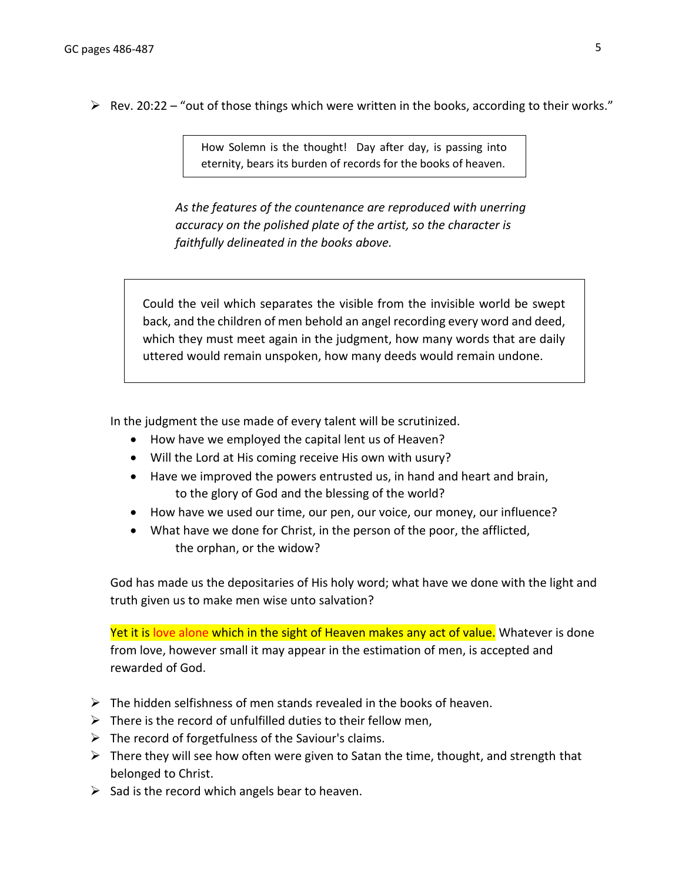$\triangleright$  Rev. 20:22 – "out of those things which were written in the books, according to their works."

How Solemn is the thought! Day after day, is passing into eternity, bears its burden of records for the books of heaven.

*As the features of the countenance are reproduced with unerring accuracy on the polished plate of the artist, so the character is faithfully delineated in the books above.*

Could the veil which separates the visible from the invisible world be swept back, and the children of men behold an angel recording every word and deed, which they must meet again in the judgment, how many words that are daily uttered would remain unspoken, how many deeds would remain undone.

In the judgment the use made of every talent will be scrutinized.

- How have we employed the capital lent us of Heaven?
- Will the Lord at His coming receive His own with usury?
- Have we improved the powers entrusted us, in hand and heart and brain, to the glory of God and the blessing of the world?
- How have we used our time, our pen, our voice, our money, our influence?
- What have we done for Christ, in the person of the poor, the afflicted, the orphan, or the widow?

God has made us the depositaries of His holy word; what have we done with the light and truth given us to make men wise unto salvation?

Yet it is love alone which in the sight of Heaven makes any act of value. Whatever is done from love, however small it may appear in the estimation of men, is accepted and rewarded of God.

- $\triangleright$  The hidden selfishness of men stands revealed in the books of heaven.
- $\triangleright$  There is the record of unfulfilled duties to their fellow men,
- $\triangleright$  The record of forgetfulness of the Saviour's claims.
- $\triangleright$  There they will see how often were given to Satan the time, thought, and strength that belonged to Christ.
- $\triangleright$  Sad is the record which angels bear to heaven.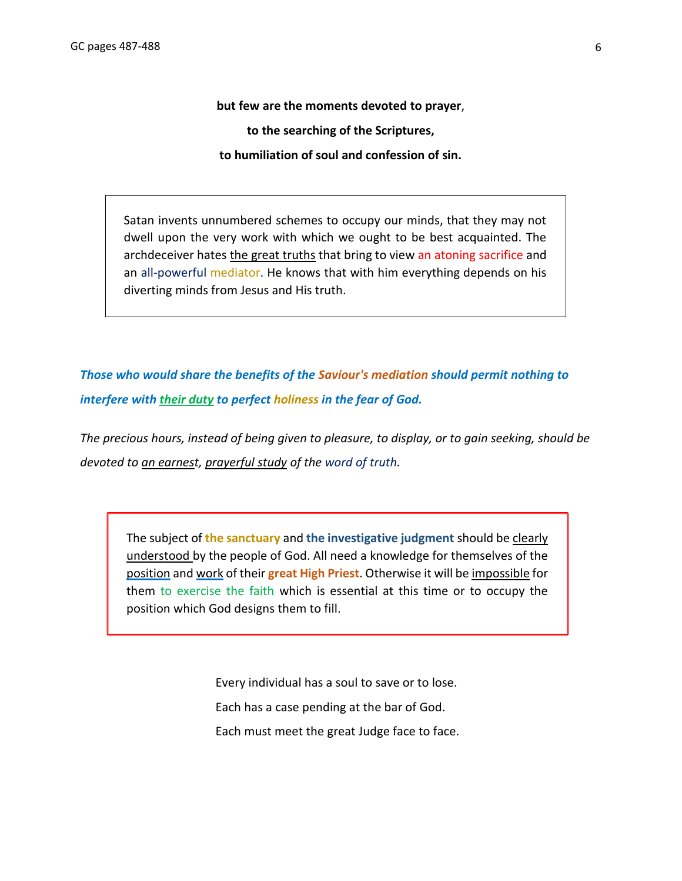**but few are the moments devoted to prayer**, **to the searching of the Scriptures, to humiliation of soul and confession of sin.**

Satan invents unnumbered schemes to occupy our minds, that they may not dwell upon the very work with which we ought to be best acquainted. The archdeceiver hates the great truths that bring to view an atoning sacrifice and an all-powerful mediator. He knows that with him everything depends on his diverting minds from Jesus and His truth.

*Those who would share the benefits of the Saviour's mediation should permit nothing to interfere with their duty to perfect holiness in the fear of God.*

*The precious hours, instead of being given to pleasure, to display, or to gain seeking, should be devoted to an earnest, prayerful study of the word of truth.*

The subject of **the sanctuary** and **the investigative judgment** should be clearly understood by the people of God. All need a knowledge for themselves of the position and work of their **great High Priest**. Otherwise it will be impossible for them to exercise the faith which is essential at this time or to occupy the position which God designs them to fill.

> Every individual has a soul to save or to lose. Each has a case pending at the bar of God. Each must meet the great Judge face to face.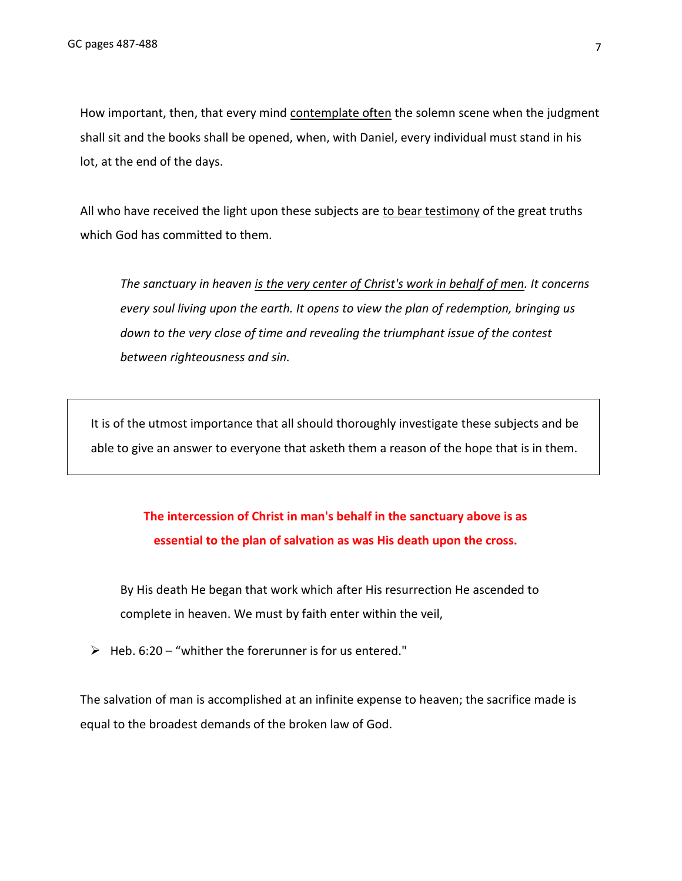How important, then, that every mind contemplate often the solemn scene when the judgment shall sit and the books shall be opened, when, with Daniel, every individual must stand in his lot, at the end of the days.

All who have received the light upon these subjects are to bear testimony of the great truths which God has committed to them.

*The sanctuary in heaven is the very center of Christ's work in behalf of men. It concerns every soul living upon the earth. It opens to view the plan of redemption, bringing us down to the very close of time and revealing the triumphant issue of the contest between righteousness and sin.* 

It is of the utmost importance that all should thoroughly investigate these subjects and be able to give an answer to everyone that asketh them a reason of the hope that is in them.

## **The intercession of Christ in man's behalf in the sanctuary above is as essential to the plan of salvation as was His death upon the cross.**

By His death He began that work which after His resurrection He ascended to complete in heaven. We must by faith enter within the veil,

➢ Heb. 6:20 – "whither the forerunner is for us entered."

The salvation of man is accomplished at an infinite expense to heaven; the sacrifice made is equal to the broadest demands of the broken law of God.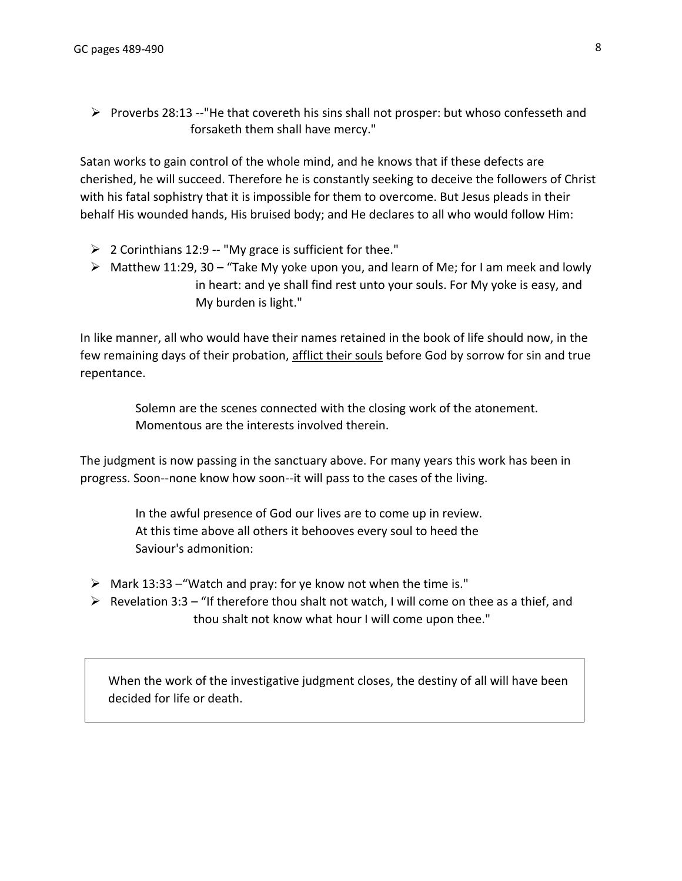$\triangleright$  Proverbs 28:13 --"He that covereth his sins shall not prosper: but whoso confesseth and forsaketh them shall have mercy."

Satan works to gain control of the whole mind, and he knows that if these defects are cherished, he will succeed. Therefore he is constantly seeking to deceive the followers of Christ with his fatal sophistry that it is impossible for them to overcome. But Jesus pleads in their behalf His wounded hands, His bruised body; and He declares to all who would follow Him:

- $\geq 2$  Corinthians 12:9 -- "My grace is sufficient for thee."
- $\triangleright$  Matthew 11:29, 30 "Take My yoke upon you, and learn of Me; for I am meek and lowly in heart: and ye shall find rest unto your souls. For My yoke is easy, and My burden is light."

In like manner, all who would have their names retained in the book of life should now, in the few remaining days of their probation, afflict their souls before God by sorrow for sin and true repentance.

> Solemn are the scenes connected with the closing work of the atonement. Momentous are the interests involved therein.

The judgment is now passing in the sanctuary above. For many years this work has been in progress. Soon--none know how soon--it will pass to the cases of the living.

> In the awful presence of God our lives are to come up in review. At this time above all others it behooves every soul to heed the Saviour's admonition:

- $\triangleright$  Mark 13:33 "Watch and pray: for ye know not when the time is."
- $\triangleright$  Revelation 3:3 "If therefore thou shalt not watch, I will come on thee as a thief, and thou shalt not know what hour I will come upon thee."

When the work of the investigative judgment closes, the destiny of all will have been decided for life or death.